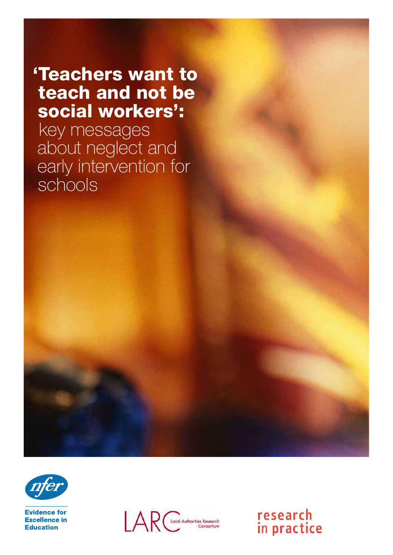## 'Teachers want to teach and not be social workers':

key messages about neglect and early intervention for schools



**Evidence for Excellence in Education** 



research in practice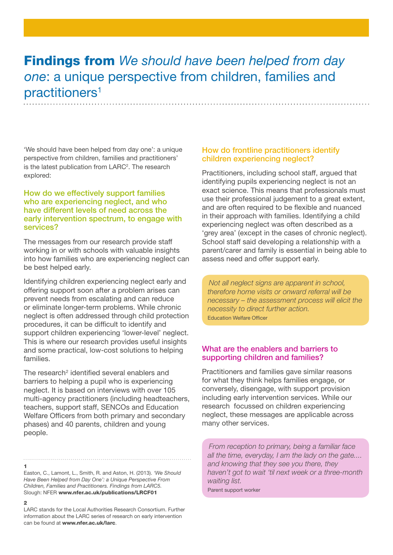### Findings from *We should have been helped from day one*: a unique perspective from children, families and practitioners<sup>1</sup>

'We should have been helped from day one': a unique perspective from children, families and practitioners' is the latest publication from LARC<sup>2</sup>. The research explored:

#### How do we effectively support families who are experiencing neglect, and who have different levels of need across the early intervention spectrum, to engage with services?

The messages from our research provide staff working in or with schools with valuable insights into how families who are experiencing neglect can be best helped early.

Identifying children experiencing neglect early and offering support soon after a problem arises can prevent needs from escalating and can reduce or eliminate longer-term problems. While chronic neglect is often addressed through child protection procedures, it can be difficult to identify and support children experiencing 'lower-level' neglect. This is where our research provides useful insights and some practical, low-cost solutions to helping families.

The research<sup>2</sup> identified several enablers and barriers to helping a pupil who is experiencing neglect. It is based on interviews with over 105 multi-agency practitioners (including headteachers, teachers, support staff, SENCOs and Education Welfare Officers from both primary and secondary phases) and 40 parents, children and young people.

1

#### How do frontline practitioners identify children experiencing neglect?

Practitioners, including school staff, argued that identifying pupils experiencing neglect is not an exact science. This means that professionals must use their professional judgement to a great extent, and are often required to be flexible and nuanced in their approach with families. Identifying a child experiencing neglect was often described as a 'grey area' (except in the cases of chronic neglect). School staff said developing a relationship with a parent/carer and family is essential in being able to assess need and offer support early.

*Not all neglect signs are apparent in school, therefore home visits or onward referral will be necessary – the assessment process will elicit the necessity to direct further action.* Education Welfare Officer

#### What are the enablers and barriers to supporting children and families?

Practitioners and families gave similar reasons for what they think helps families engage, or conversely, disengage, with support provision including early intervention services. While our research focussed on children experiencing neglect, these messages are applicable across many other services.

*From reception to primary, being a familiar face all the time, everyday, I am the lady on the gate.... and knowing that they see you there, they haven't got to wait 'til next week or a three-month waiting list.*

Parent support worker

2

Easton, C., Lamont, L., Smith, R. and Aston, H. (2013). *'We Should Have Been Helped from Day One': a Unique Perspective From Children, Families and Practitioners. Findings from LARC5.*  Slough: NFER www.nfer.ac.uk/publications/LRCF01

LARC stands for the Local Authorities Research Consortium. Further information about the LARC series of research on early intervention can be found at www.nfer.ac.uk/larc.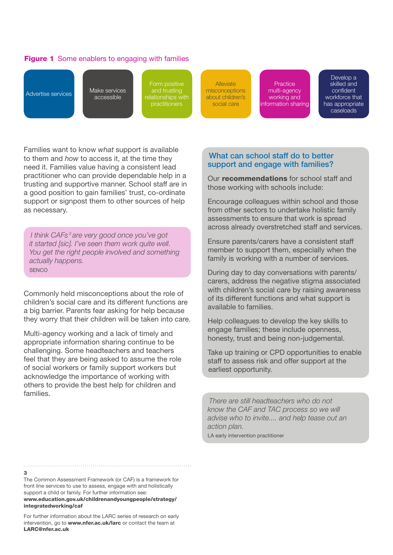#### **Figure 1** Some enablers to engaging with families



Make services accessible

Form positive relationships with practitioners

**Alleviate** misconceptions about children's social care

**Practice** multi-agency working and information sharing

Develop a skilled and confident workforce that has appropriate caseloads

Families want to know *what* support is available to them and *how* to access it, at the time they need it. Families value having a consistent lead practitioner who can provide dependable help in a trusting and supportive manner. School staff are in a good position to gain families' trust, co-ordinate support or signpost them to other sources of help as necessary.

*I think CAFs 3 are very good once you've got it started [sic]. I've seen them work quite well. You get the right people involved and something actually happens.* SENCO

Commonly held misconceptions about the role of children's social care and its different functions are a big barrier. Parents fear asking for help because they worry that their children will be taken into care.

Multi-agency working and a lack of timely and appropriate information sharing continue to be challenging. Some headteachers and teachers feel that they are being asked to assume the role of social workers or family support workers but acknowledge the importance of working with others to provide the best help for children and families.

#### What can school staff do to better support and engage with families?

Our **recommendations** for school staff and those working with schools include:

Encourage colleagues within school and those from other sectors to undertake holistic family assessments to ensure that work is spread across already overstretched staff and services.

Ensure parents/carers have a consistent staff member to support them, especially when the family is working with a number of services.

During day to day conversations with parents/ carers, address the negative stigma associated with children's social care by raising awareness of its different functions and what support is available to families.

Help colleagues to develop the key skills to engage families; these include openness, honesty, trust and being non-judgemental.

Take up training or CPD opportunities to enable staff to assess risk and offer support at the earliest opportunity.

*There are still headteachers who do not know the CAF and TAC process so we will advise who to invite.... and help tease out an action plan.*

LA early intervention practitioner

The Common Assessment Framework (or CAF) is a framework for front line services to use to assess, engage with and holistically support a child or family. For further information see: www.education.gov.uk/childrenandyoungpeople/strategy/ integratedworking/caf

For further information about the LARC series of research on early intervention, go to www.nfer.ac.uk/larc or contact the team at LARC@nfer.ac.uk

<sup>3</sup>